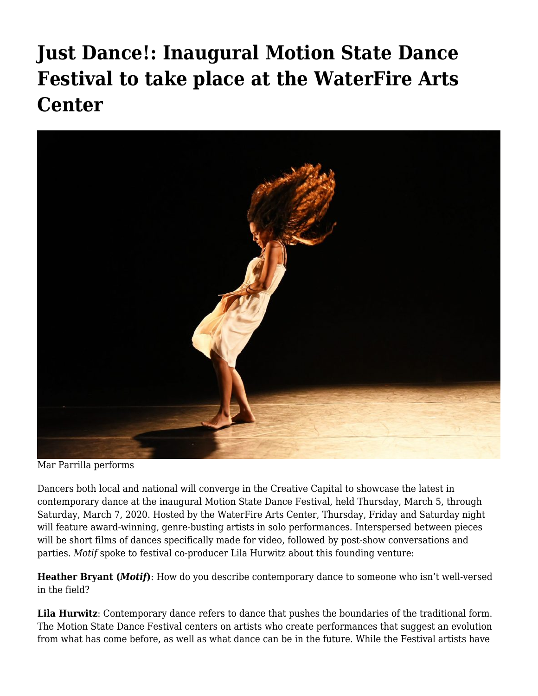## **[Just Dance!: Inaugural Motion State Dance](https://motifri.com/just-dance-inaugural-motion-state-arts-festival-to-take-place-at-the-waterfire-arts-center/) [Festival to take place at the WaterFire Arts](https://motifri.com/just-dance-inaugural-motion-state-arts-festival-to-take-place-at-the-waterfire-arts-center/) [Center](https://motifri.com/just-dance-inaugural-motion-state-arts-festival-to-take-place-at-the-waterfire-arts-center/)**



Mar Parrilla performs

Dancers both local and national will converge in the Creative Capital to showcase the latest in contemporary dance at the inaugural Motion State Dance Festival, held Thursday, March 5, through Saturday, March 7, 2020. Hosted by the WaterFire Arts Center, Thursday, Friday and Saturday night will feature award-winning, genre-busting artists in solo performances. Interspersed between pieces will be short films of dances specifically made for video, followed by post-show conversations and parties. *Motif* spoke to festival co-producer Lila Hurwitz about this founding venture:

**Heather Bryant (***Motif***)**: How do you describe contemporary dance to someone who isn't well-versed in the field?

**Lila Hurwitz**: Contemporary dance refers to dance that pushes the boundaries of the traditional form. The Motion State Dance Festival centers on artists who create performances that suggest an evolution from what has come before, as well as what dance can be in the future. While the Festival artists have